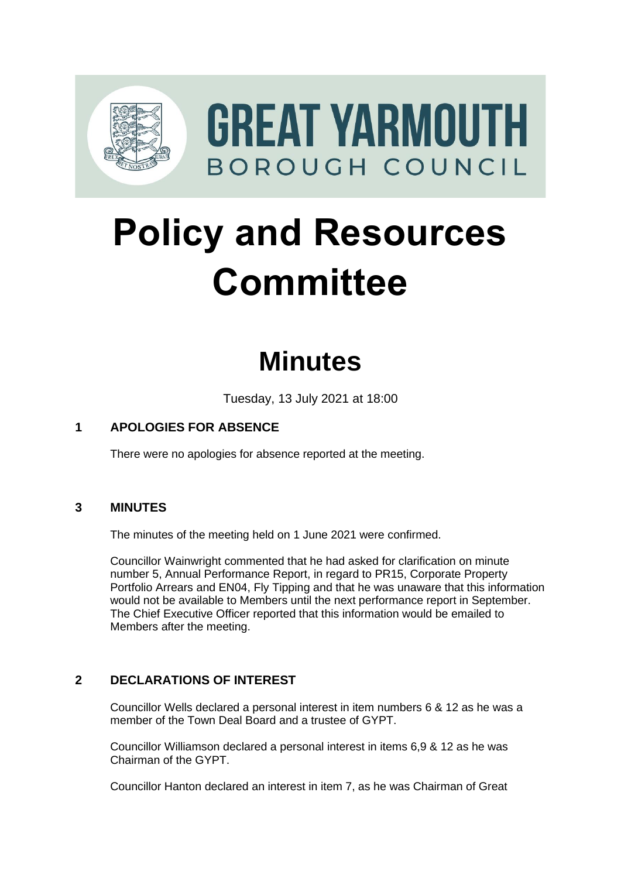

# **Policy and Resources Committee**

# **Minutes**

Tuesday, 13 July 2021 at 18:00

# **1 APOLOGIES FOR ABSENCE**

There were no apologies for absence reported at the meeting.

## **3 MINUTES** 3

The minutes of the meeting held on 1 June 2021 were confirmed.

Councillor Wainwright commented that he had asked for clarification on minute number 5, Annual Performance Report, in regard to PR15, Corporate Property Portfolio Arrears and EN04, Fly Tipping and that he was unaware that this information would not be available to Members until the next performance report in September. The Chief Executive Officer reported that this information would be emailed to Members after the meeting.

## **2 DECLARATIONS OF INTEREST** 2

Councillor Wells declared a personal interest in item numbers 6 & 12 as he was a member of the Town Deal Board and a trustee of GYPT.

Councillor Williamson declared a personal interest in items 6,9 & 12 as he was Chairman of the GYPT.

Councillor Hanton declared an interest in item 7, as he was Chairman of Great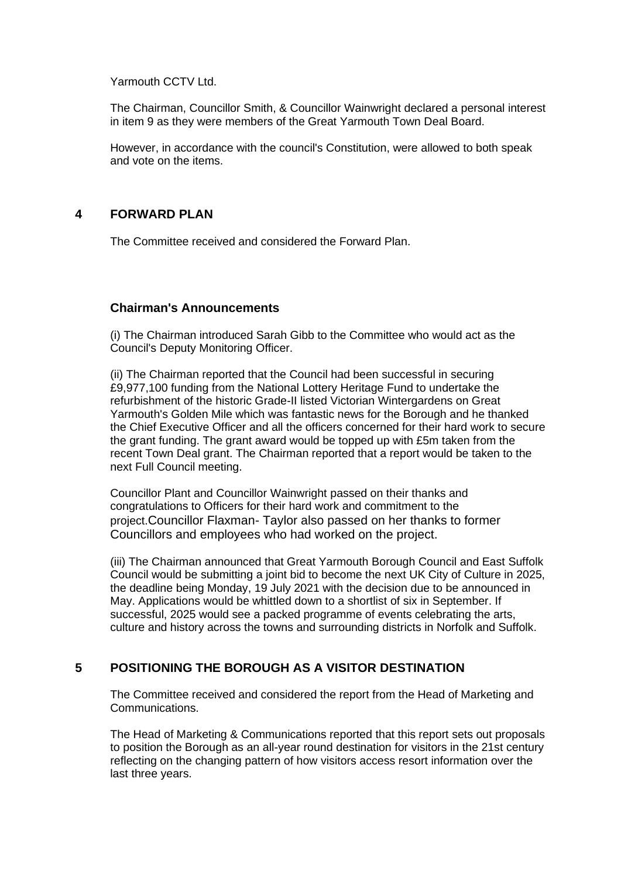Yarmouth CCTV Ltd.

The Chairman, Councillor Smith, & Councillor Wainwright declared a personal interest in item 9 as they were members of the Great Yarmouth Town Deal Board.

However, in accordance with the council's Constitution, were allowed to both speak and vote on the items.

## **4 FORWARD PLAN** 4

The Committee received and considered the Forward Plan.

#### **Chairman's Announcements**

(i) The Chairman introduced Sarah Gibb to the Committee who would act as the Council's Deputy Monitoring Officer.

(ii) The Chairman reported that the Council had been successful in securing £9,977,100 funding from the National Lottery Heritage Fund to undertake the refurbishment of the historic Grade-II listed Victorian Wintergardens on Great Yarmouth's Golden Mile which was fantastic news for the Borough and he thanked the Chief Executive Officer and all the officers concerned for their hard work to secure the grant funding. The grant award would be topped up with £5m taken from the recent Town Deal grant. The Chairman reported that a report would be taken to the next Full Council meeting.

Councillor Plant and Councillor Wainwright passed on their thanks and congratulations to Officers for their hard work and commitment to the project.Councillor Flaxman- Taylor also passed on her thanks to former Councillors and employees who had worked on the project.

(iii) The Chairman announced that Great Yarmouth Borough Council and East Suffolk Council would be submitting a joint bid to become the next UK City of Culture in 2025, the deadline being Monday, 19 July 2021 with the decision due to be announced in May. Applications would be whittled down to a shortlist of six in September. If successful, 2025 would see a packed programme of events celebrating the arts, culture and history across the towns and surrounding districts in Norfolk and Suffolk.

## **5** POSITIONING THE BOROUGH AS A VISITOR DESTINATION

The Committee received and considered the report from the Head of Marketing and Communications.

The Head of Marketing & Communications reported that this report sets out proposals to position the Borough as an all-year round destination for visitors in the 21st century reflecting on the changing pattern of how visitors access resort information over the last three years.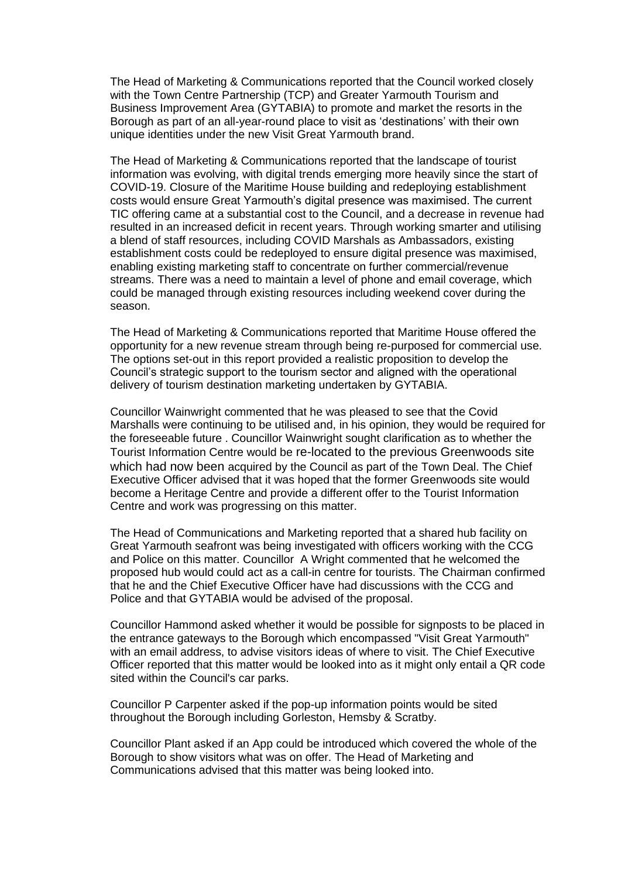The Head of Marketing & Communications reported that the Council worked closely with the Town Centre Partnership (TCP) and Greater Yarmouth Tourism and Business Improvement Area (GYTABIA) to promote and market the resorts in the Borough as part of an all-year-round place to visit as 'destinations' with their own unique identities under the new Visit Great Yarmouth brand.

The Head of Marketing & Communications reported that the landscape of tourist information was evolving, with digital trends emerging more heavily since the start of COVID-19. Closure of the Maritime House building and redeploying establishment costs would ensure Great Yarmouth's digital presence was maximised. The current TIC offering came at a substantial cost to the Council, and a decrease in revenue had resulted in an increased deficit in recent years. Through working smarter and utilising a blend of staff resources, including COVID Marshals as Ambassadors, existing establishment costs could be redeployed to ensure digital presence was maximised, enabling existing marketing staff to concentrate on further commercial/revenue streams. There was a need to maintain a level of phone and email coverage, which could be managed through existing resources including weekend cover during the season.

The Head of Marketing & Communications reported that Maritime House offered the opportunity for a new revenue stream through being re-purposed for commercial use. The options set-out in this report provided a realistic proposition to develop the Council's strategic support to the tourism sector and aligned with the operational delivery of tourism destination marketing undertaken by GYTABIA.

Councillor Wainwright commented that he was pleased to see that the Covid Marshalls were continuing to be utilised and, in his opinion, they would be required for the foreseeable future . Councillor Wainwright sought clarification as to whether the Tourist Information Centre would be re-located to the previous Greenwoods site which had now been acquired by the Council as part of the Town Deal. The Chief Executive Officer advised that it was hoped that the former Greenwoods site would become a Heritage Centre and provide a different offer to the Tourist Information Centre and work was progressing on this matter.

The Head of Communications and Marketing reported that a shared hub facility on Great Yarmouth seafront was being investigated with officers working with the CCG and Police on this matter. Councillor A Wright commented that he welcomed the proposed hub would could act as a call-in centre for tourists. The Chairman confirmed that he and the Chief Executive Officer have had discussions with the CCG and Police and that GYTABIA would be advised of the proposal.

Councillor Hammond asked whether it would be possible for signposts to be placed in the entrance gateways to the Borough which encompassed "Visit Great Yarmouth" with an email address, to advise visitors ideas of where to visit. The Chief Executive Officer reported that this matter would be looked into as it might only entail a QR code sited within the Council's car parks.

Councillor P Carpenter asked if the pop-up information points would be sited throughout the Borough including Gorleston, Hemsby & Scratby.

Councillor Plant asked if an App could be introduced which covered the whole of the Borough to show visitors what was on offer. The Head of Marketing and Communications advised that this matter was being looked into.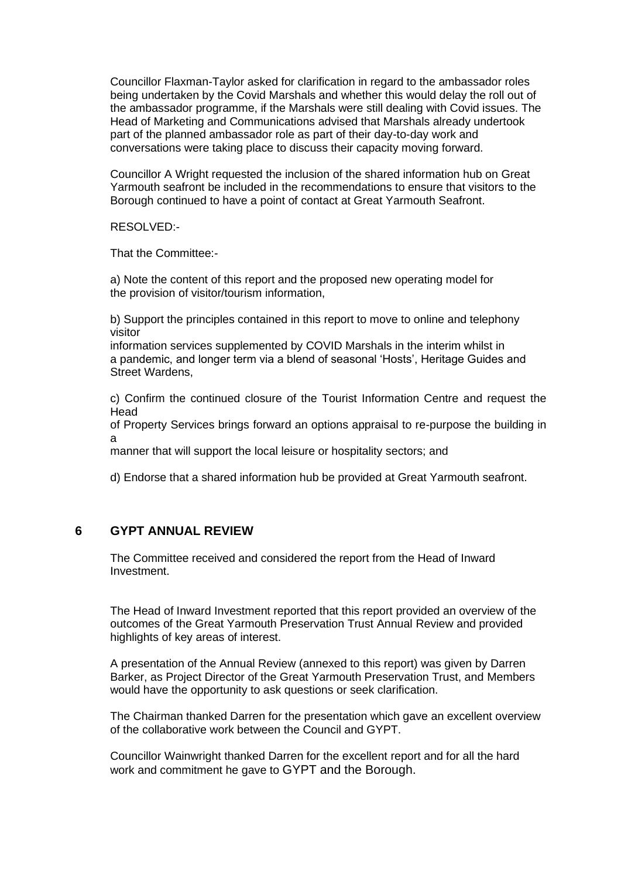Councillor Flaxman-Taylor asked for clarification in regard to the ambassador roles being undertaken by the Covid Marshals and whether this would delay the roll out of the ambassador programme, if the Marshals were still dealing with Covid issues. The Head of Marketing and Communications advised that Marshals already undertook part of the planned ambassador role as part of their day-to-day work and conversations were taking place to discuss their capacity moving forward.

Councillor A Wright requested the inclusion of the shared information hub on Great Yarmouth seafront be included in the recommendations to ensure that visitors to the Borough continued to have a point of contact at Great Yarmouth Seafront.

RESOLVED:-

That the Committee:-

a) Note the content of this report and the proposed new operating model for the provision of visitor/tourism information,

b) Support the principles contained in this report to move to online and telephony visitor

information services supplemented by COVID Marshals in the interim whilst in a pandemic, and longer term via a blend of seasonal 'Hosts', Heritage Guides and Street Wardens,

c) Confirm the continued closure of the Tourist Information Centre and request the Head

of Property Services brings forward an options appraisal to re-purpose the building in a

manner that will support the local leisure or hospitality sectors; and

d) Endorse that a shared information hub be provided at Great Yarmouth seafront.

#### **6 GYPT ANNUAL REVIEW** 6

The Committee received and considered the report from the Head of Inward Investment.

The Head of Inward Investment reported that this report provided an overview of the outcomes of the Great Yarmouth Preservation Trust Annual Review and provided highlights of key areas of interest.

A presentation of the Annual Review (annexed to this report) was given by Darren Barker, as Project Director of the Great Yarmouth Preservation Trust, and Members would have the opportunity to ask questions or seek clarification.

The Chairman thanked Darren for the presentation which gave an excellent overview of the collaborative work between the Council and GYPT.

Councillor Wainwright thanked Darren for the excellent report and for all the hard work and commitment he gave to GYPT and the Borough.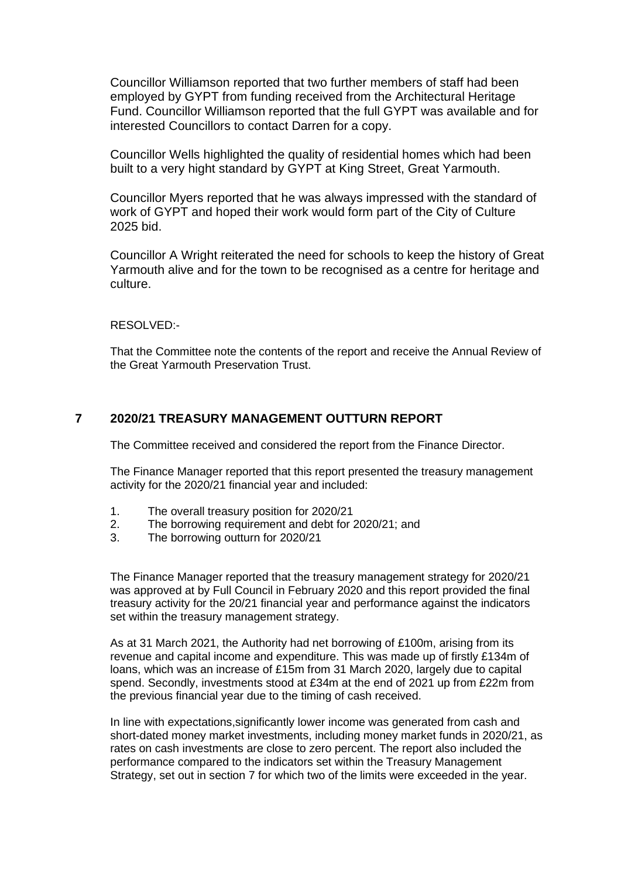Councillor Williamson reported that two further members of staff had been employed by GYPT from funding received from the Architectural Heritage Fund. Councillor Williamson reported that the full GYPT was available and for interested Councillors to contact Darren for a copy.

Councillor Wells highlighted the quality of residential homes which had been built to a very hight standard by GYPT at King Street, Great Yarmouth.

Councillor Myers reported that he was always impressed with the standard of work of GYPT and hoped their work would form part of the City of Culture 2025 bid.

Councillor A Wright reiterated the need for schools to keep the history of Great Yarmouth alive and for the town to be recognised as a centre for heritage and culture.

RESOLVED:-

That the Committee note the contents of the report and receive the Annual Review of the Great Yarmouth Preservation Trust.

#### **7 2020/21 TREASURY MANAGEMENT OUTTURN REPORT** 7

The Committee received and considered the report from the Finance Director.

The Finance Manager reported that this report presented the treasury management activity for the 2020/21 financial year and included:

- 1. The overall treasury position for 2020/21
- 2. The borrowing requirement and debt for 2020/21; and
- 3. The borrowing outturn for 2020/21

The Finance Manager reported that the treasury management strategy for 2020/21 was approved at by Full Council in February 2020 and this report provided the final treasury activity for the 20/21 financial year and performance against the indicators set within the treasury management strategy.

As at 31 March 2021, the Authority had net borrowing of £100m, arising from its revenue and capital income and expenditure. This was made up of firstly £134m of loans, which was an increase of £15m from 31 March 2020, largely due to capital spend. Secondly, investments stood at £34m at the end of 2021 up from £22m from the previous financial year due to the timing of cash received.

In line with expectations,significantly lower income was generated from cash and short-dated money market investments, including money market funds in 2020/21, as rates on cash investments are close to zero percent. The report also included the performance compared to the indicators set within the Treasury Management Strategy, set out in section 7 for which two of the limits were exceeded in the year.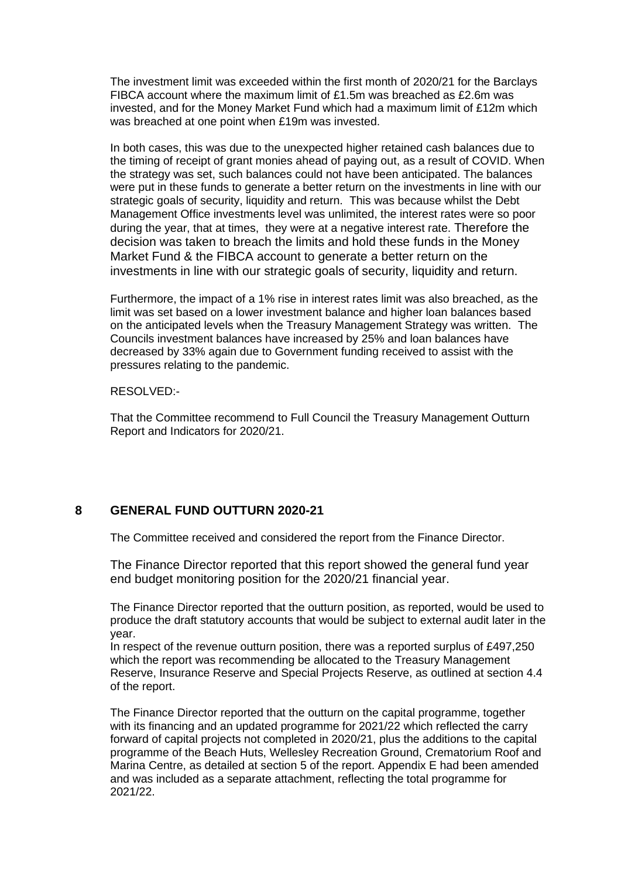The investment limit was exceeded within the first month of 2020/21 for the Barclays FIBCA account where the maximum limit of £1.5m was breached as £2.6m was invested, and for the Money Market Fund which had a maximum limit of £12m which was breached at one point when £19m was invested.

In both cases, this was due to the unexpected higher retained cash balances due to the timing of receipt of grant monies ahead of paying out, as a result of COVID. When the strategy was set, such balances could not have been anticipated. The balances were put in these funds to generate a better return on the investments in line with our strategic goals of security, liquidity and return. This was because whilst the Debt Management Office investments level was unlimited, the interest rates were so poor during the year, that at times, they were at a negative interest rate. Therefore the decision was taken to breach the limits and hold these funds in the Money Market Fund & the FIBCA account to generate a better return on the investments in line with our strategic goals of security, liquidity and return.

Furthermore, the impact of a 1% rise in interest rates limit was also breached, as the limit was set based on a lower investment balance and higher loan balances based on the anticipated levels when the Treasury Management Strategy was written. The Councils investment balances have increased by 25% and loan balances have decreased by 33% again due to Government funding received to assist with the pressures relating to the pandemic.

RESOLVED:-

That the Committee recommend to Full Council the Treasury Management Outturn Report and Indicators for 2020/21.

## **8 GENERAL FUND OUTTURN 2020-21** 8

The Committee received and considered the report from the Finance Director.

The Finance Director reported that this report showed the general fund year end budget monitoring position for the 2020/21 financial year.

The Finance Director reported that the outturn position, as reported, would be used to produce the draft statutory accounts that would be subject to external audit later in the year.

In respect of the revenue outturn position, there was a reported surplus of £497,250 which the report was recommending be allocated to the Treasury Management Reserve, Insurance Reserve and Special Projects Reserve, as outlined at section 4.4 of the report.

The Finance Director reported that the outturn on the capital programme, together with its financing and an updated programme for 2021/22 which reflected the carry forward of capital projects not completed in 2020/21, plus the additions to the capital programme of the Beach Huts, Wellesley Recreation Ground, Crematorium Roof and Marina Centre, as detailed at section 5 of the report. Appendix E had been amended and was included as a separate attachment, reflecting the total programme for 2021/22.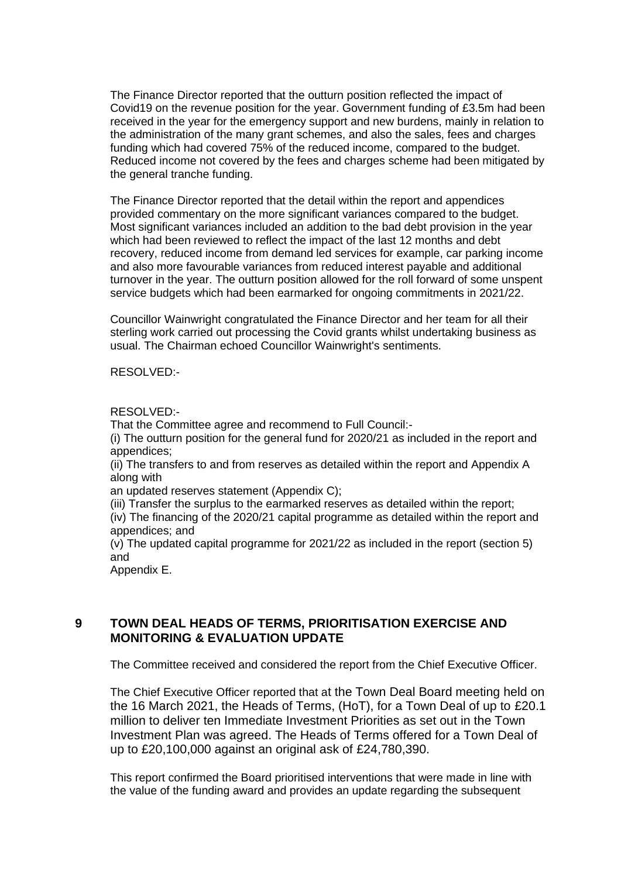The Finance Director reported that the outturn position reflected the impact of Covid19 on the revenue position for the year. Government funding of £3.5m had been received in the year for the emergency support and new burdens, mainly in relation to the administration of the many grant schemes, and also the sales, fees and charges funding which had covered 75% of the reduced income, compared to the budget. Reduced income not covered by the fees and charges scheme had been mitigated by the general tranche funding.

The Finance Director reported that the detail within the report and appendices provided commentary on the more significant variances compared to the budget. Most significant variances included an addition to the bad debt provision in the year which had been reviewed to reflect the impact of the last 12 months and debt recovery, reduced income from demand led services for example, car parking income and also more favourable variances from reduced interest payable and additional turnover in the year. The outturn position allowed for the roll forward of some unspent service budgets which had been earmarked for ongoing commitments in 2021/22.

Councillor Wainwright congratulated the Finance Director and her team for all their sterling work carried out processing the Covid grants whilst undertaking business as usual. The Chairman echoed Councillor Wainwright's sentiments.

RESOLVED:-

#### RESOLVED:-

That the Committee agree and recommend to Full Council:-

(i) The outturn position for the general fund for 2020/21 as included in the report and appendices;

(ii) The transfers to and from reserves as detailed within the report and Appendix A along with

an updated reserves statement (Appendix C);

(iii) Transfer the surplus to the earmarked reserves as detailed within the report; (iv) The financing of the 2020/21 capital programme as detailed within the report and appendices; and

(v) The updated capital programme for 2021/22 as included in the report (section 5) and

Appendix E.

## **9 TOWN DEAL HEADS OF TERMS, PRIORITISATION EXERCISE AND MONITORING & EVALUATION UPDATE**

The Committee received and considered the report from the Chief Executive Officer.

The Chief Executive Officer reported that at the Town Deal Board meeting held on the 16 March 2021, the Heads of Terms, (HoT), for a Town Deal of up to £20.1 million to deliver ten Immediate Investment Priorities as set out in the Town Investment Plan was agreed. The Heads of Terms offered for a Town Deal of up to £20,100,000 against an original ask of £24,780,390.

This report confirmed the Board prioritised interventions that were made in line with the value of the funding award and provides an update regarding the subsequent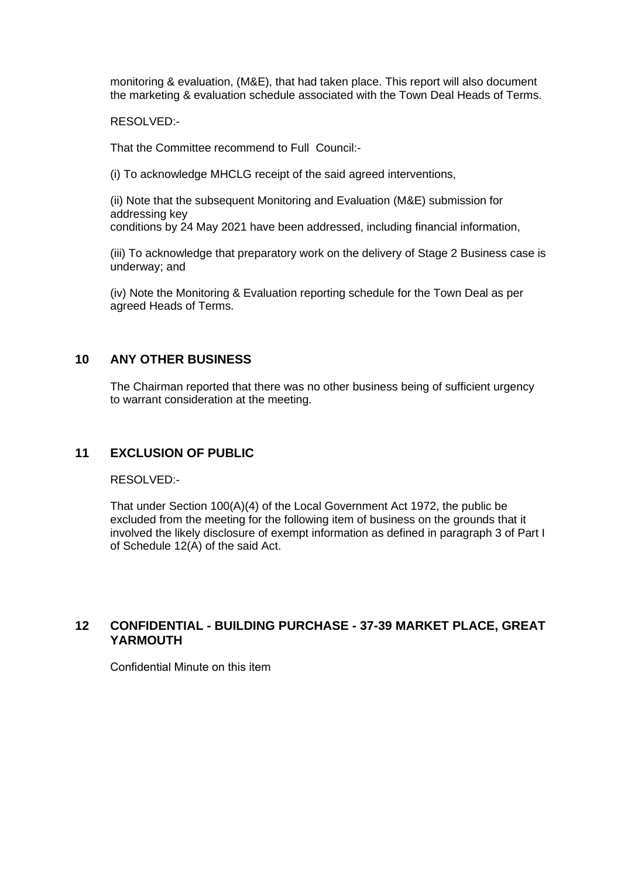monitoring & evaluation, (M&E), that had taken place. This report will also document the marketing & evaluation schedule associated with the Town Deal Heads of Terms.

RESOLVED:-

That the Committee recommend to Full Council:-

(i) To acknowledge MHCLG receipt of the said agreed interventions,

(ii) Note that the subsequent Monitoring and Evaluation (M&E) submission for addressing key conditions by 24 May 2021 have been addressed, including financial information,

(iii) To acknowledge that preparatory work on the delivery of Stage 2 Business case is underway; and

(iv) Note the Monitoring & Evaluation reporting schedule for the Town Deal as per agreed Heads of Terms.

#### **10 ANY OTHER BUSINESS**

The Chairman reported that there was no other business being of sufficient urgency to warrant consideration at the meeting.

#### **11 EXCLUSION OF PUBLIC**

RESOLVED:-

That under Section 100(A)(4) of the Local Government Act 1972, the public be excluded from the meeting for the following item of business on the grounds that it involved the likely disclosure of exempt information as defined in paragraph 3 of Part I of Schedule 12(A) of the said Act.

#### **12 CONFIDENTIAL - BUILDING PURCHASE - 37-39 MARKET PLACE, GREAT**  YARMOUTH

Confidential Minute on this item